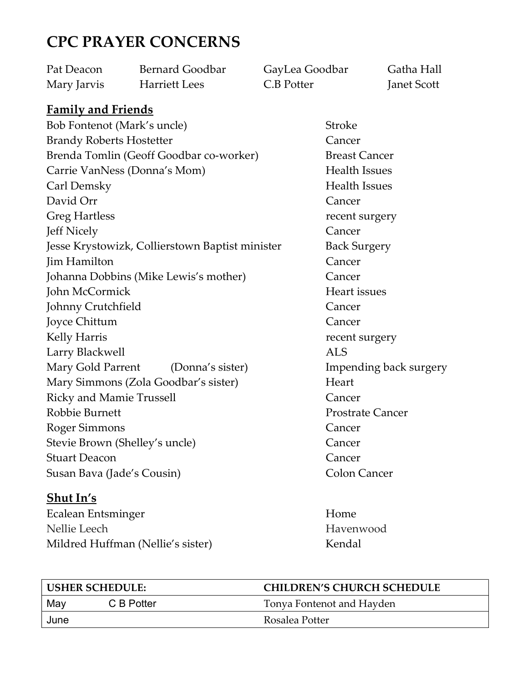# CPC PRAYER CONCERNS

| Pat Deacon  | Bernard Goodbar      | GayLea Goodbar | Gatha Hall         |
|-------------|----------------------|----------------|--------------------|
| Mary Jarvis | <b>Harriett Lees</b> | C.B Potter     | <b>Janet Scott</b> |

## Family and Friends

Bob Fontenot (Mark's uncle) Stroke Brandy Roberts Hostetter **Cancer** Brenda Tomlin (Geoff Goodbar co-worker) Breast Cancer Carrie VanNess (Donna's Mom) Health Issues Carl Demsky Health Issues David Orr Cancer Greg Hartless **recent surgery** Jeff Nicely Cancer Jesse Krystowizk, Collierstown Baptist minister Back Surgery Jim Hamilton Cancer Johanna Dobbins (Mike Lewis's mother) Cancer John McCormick Heart issues Johnny Crutchfield Cancer Joyce Chittum Cancer Kelly Harris The Communication of the Communication of the Communication of the Communication of the Communication of the Communication of the Communication of the Communication of the Communication of the Communication of Larry Blackwell **ALS** Mary Gold Parrent (Donna's sister) Impending back surgery Mary Simmons (Zola Goodbar's sister) Heart Ricky and Mamie Trussell **Cancer** Robbie Burnett Prostrate Cancer Roger Simmons Cancer Stevie Brown (Shelley's uncle) Cancer Stuart Deacon Cancer Susan Bava (Jade's Cousin) Colon Cancer

### Shut In's

Ecalean Entsminger Home Nellie Leech Havenwood Mildred Huffman (Nellie's sister) Kendal

| USHER SCHEDULE: |            | <b>CHILDREN'S CHURCH SCHEDULE</b> |  |
|-----------------|------------|-----------------------------------|--|
| May             | C B Potter | Tonya Fontenot and Hayden         |  |
| June            |            | Rosalea Potter                    |  |